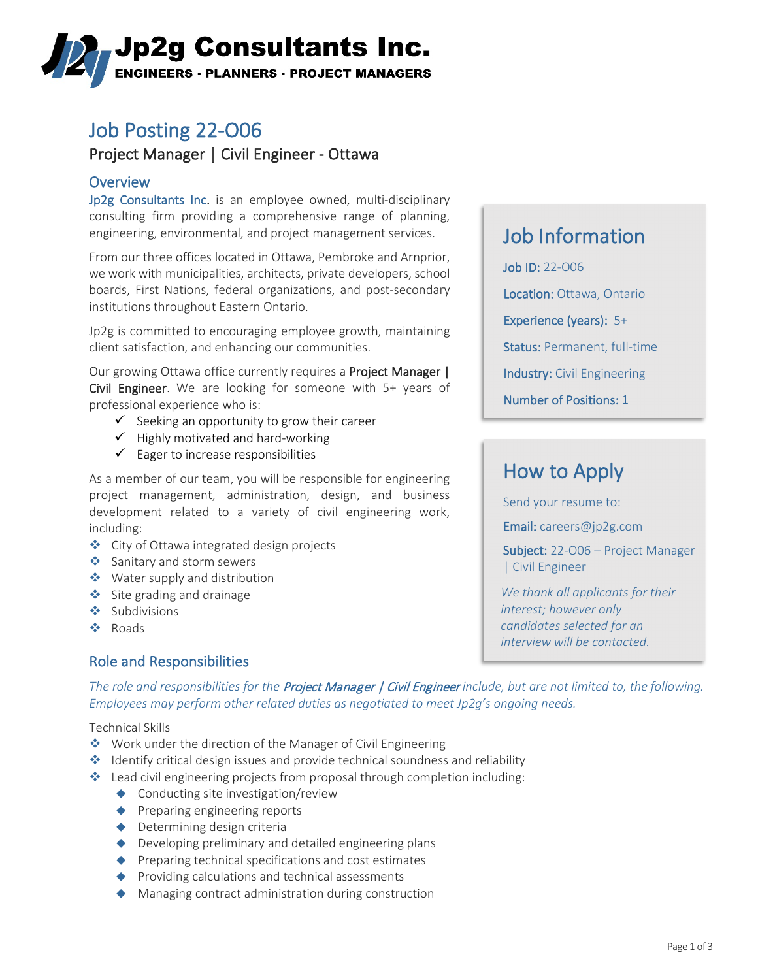# **Jp2g Consultants Inc. ENGINEERS · PLANNERS · PROJECT MANAGERS**

# Job Posting 22-O06

### Project Manager | Civil Engineer - Ottawa

Overview<br>Jp2g Consultants Inc. is an employee owned, multi-disciplinary consulting firm providing a comprehensive range of planning, engineering, environmental, and project management services.

From our three offices located in Ottawa, Pembroke and Arnprior, we work with municipalities, architects, private developers, school boards, First Nations, federal organizations, and post-secondary institutions throughout Eastern Ontario.

Jp2g is committed to encouraging employee growth, maintaining client satisfaction, and enhancing our communities.

Our growing Ottawa office currently requires a Project Manager | Civil Engineer. We are looking for someone with 5+ years of professional experience who is:

- $\checkmark$  Seeking an opportunity to grow their career
- $\checkmark$  Highly motivated and hard-working
- $\checkmark$  Eager to increase responsibilities

As a member of our team, you will be responsible for engineering project management, administration, design, and business development related to a variety of civil engineering work, including:

- City of Ottawa integrated design projects
- Sanitary and storm sewers
- ◆ Water supply and distribution
- Site grading and drainage
- ❖ Subdivisions
- ❖ Roads

### Role and Responsibilities

# Job Information

Job ID: 22-O06 Location: Ottawa, Ontario Experience (years): 5+ Status: Permanent, full-time Industry: Civil Engineering Number of Positions: 1

# How to Apply

Send your resume to:

Email: [careers@jp2g.com](mailto:careers@jp2g.com?subject=22-O06%20Project%20Manager%20|%20Civil%20Engineer)

Subject: 22-O06 – Project Manager | Civil Engineer

*We thank all applicants for their interest; however only candidates selected for an interview will be contacted.*

*The role and responsibilities for the* Project Manager | Civil Engineer *include, but are not limited to, the following. Employees may perform other related duties as negotiated to meet Jp2g's ongoing needs.*

#### Technical Skills

- ◆ Work under the direction of the Manager of Civil Engineering
- **IDENTIFY** Identify critical design issues and provide technical soundness and reliability
- $\cdot$  Lead civil engineering projects from proposal through completion including:
	- ◆ Conducting site investigation/review
	- ◆ Preparing engineering reports
	- ◆ Determining design criteria
	- ◆ Developing preliminary and detailed engineering plans
	- ◆ Preparing technical specifications and cost estimates
	- ◆ Providing calculations and technical assessments
	- ◆ Managing contract administration during construction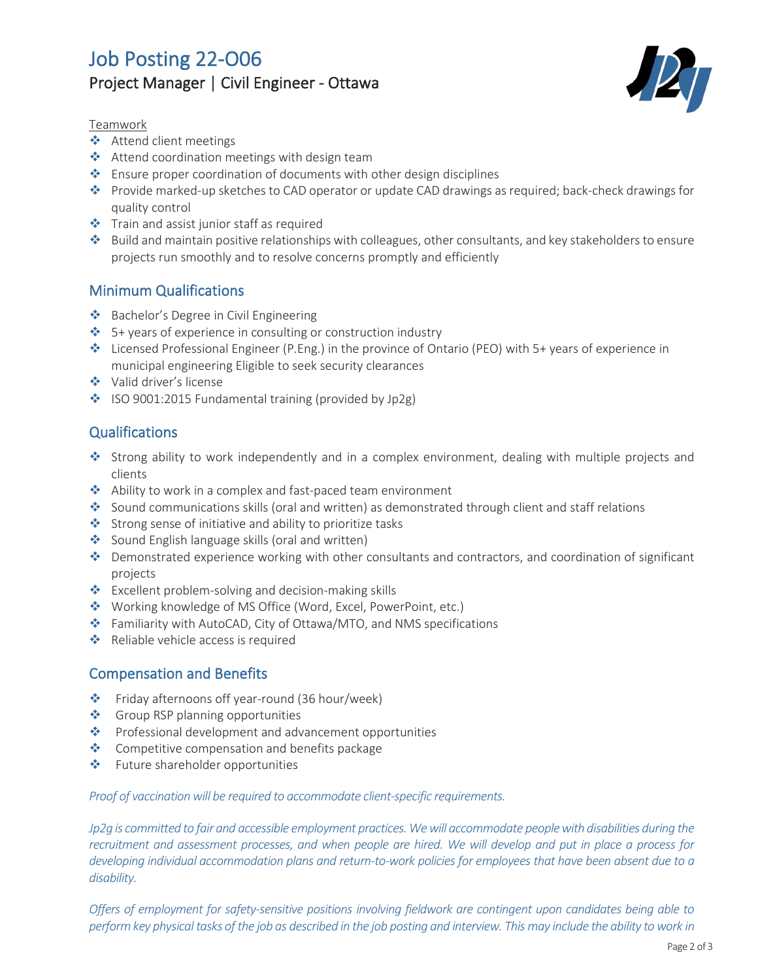## Job Posting 22-O06 Project Manager | Civil Engineer - Ottawa



#### Teamwork

- ❖ Attend client meetings
- ◆ Attend coordination meetings with design team
- \* Ensure proper coordination of documents with other design disciplines
- \* Provide marked-up sketches to CAD operator or update CAD drawings as required; back-check drawings for quality control
- Train and assist junior staff as required
- Build and maintain positive relationships with colleagues, other consultants, and key stakeholders to ensure projects run smoothly and to resolve concerns promptly and efficiently

### Minimum Qualifications

- ❖ Bachelor's Degree in Civil Engineering
- $\cdot$  5+ years of experience in consulting or construction industry
- Licensed Professional Engineer (P.Eng.) in the province of Ontario (PEO) with 5+ years of experience in municipal engineering Eligible to seek security clearances
- **❖** Valid driver's license
- ◆ ISO 9001:2015 Fundamental training (provided by Jp2g)

### **Qualifications**

- Strong ability to work independently and in a complex environment, dealing with multiple projects and clients
- ◆ Ability to work in a complex and fast-paced team environment
- Sound communications skills (oral and written) as demonstrated through client and staff relations
- Strong sense of initiative and ability to prioritize tasks
- Sound English language skills (oral and written)
- Demonstrated experience working with other consultants and contractors, and coordination of significant projects
- ❖ Excellent problem-solving and decision-making skills
- Working knowledge of MS Office (Word, Excel, PowerPoint, etc.)
- Familiarity with AutoCAD, City of Ottawa/MTO, and NMS specifications
- Reliable vehicle access is required

#### Compensation and Benefits

- Friday afternoons off year-round (36 hour/week)
- ❖ Group RSP planning opportunities
- \* Professional development and advancement opportunities
- **❖** Competitive compensation and benefits package
- **❖** Future shareholder opportunities

#### *Proof of vaccination will be required to accommodate client-specific requirements.*

*Jp2g is committed to fair and accessible employment practices. We will accommodate people with disabilities during the recruitment and assessment processes, and when people are hired. We will develop and put in place a process for developing individual accommodation plans and return-to-work policies for employees that have been absent due to a disability.*

*Offers of employment for safety-sensitive positions involving fieldwork are contingent upon candidates being able to perform key physical tasks of the job as described in the job posting and interview. This may include the ability to work in*